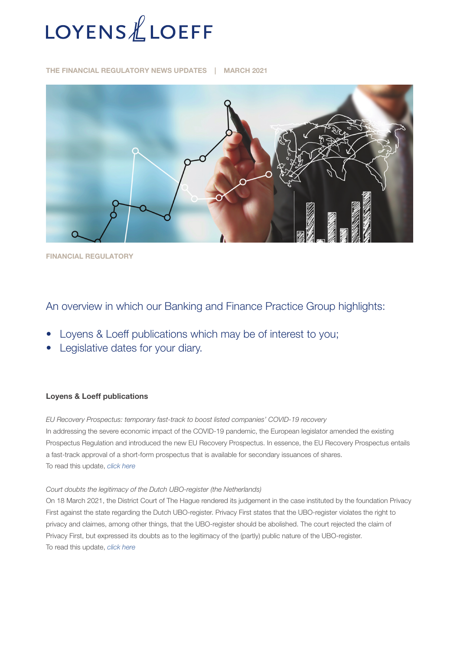

THE FINANCIAL REGULATORY NEWS UPDATES | MARCH 2021



FINANCIAL REGULATORY

# An overview in which our Banking and Finance Practice Group highlights:

- Loyens & Loeff publications which may be of interest to you;
- Legislative dates for your diary.

# Loyens & Loeff publications

*EU Recovery Prospectus: temporary fast-track to boost listed companies' COVID-19 recovery* In addressing the severe economic impact of the COVID-19 pandemic, the European legislator amended the existing Prospectus Regulation and introduced the new EU Recovery Prospectus. In essence, the EU Recovery Prospectus entails a fast-track approval of a short-form prospectus that is available for secondary issuances of shares. To read this update, *[click here](https://www.loyensloeff.com/be/en/news/articles-and-newsflashes/eu-recovery-prospectus-temporary-fast-track-to-boost-listed-companies-covid-19-recovery-n22184/)*

#### *Court doubts the legitimacy of the Dutch UBO-register (the Netherlands)*

On 18 March 2021, the District Court of The Hague rendered its judgement in the case instituted by the foundation Privacy First against the state regarding the Dutch UBO-register. Privacy First states that the UBO-register violates the right to privacy and claimes, among other things, that the UBO-register should be abolished. The court rejected the claim of Privacy First, but expressed its doubts as to the legitimacy of the (partly) public nature of the UBO-register. To read this update, *[click here](https://www.loyensloeff.com/nl/en/news/news-articles/court-doubts-the-legitimacy-of-the-dutch-ubo-register-n22168/)*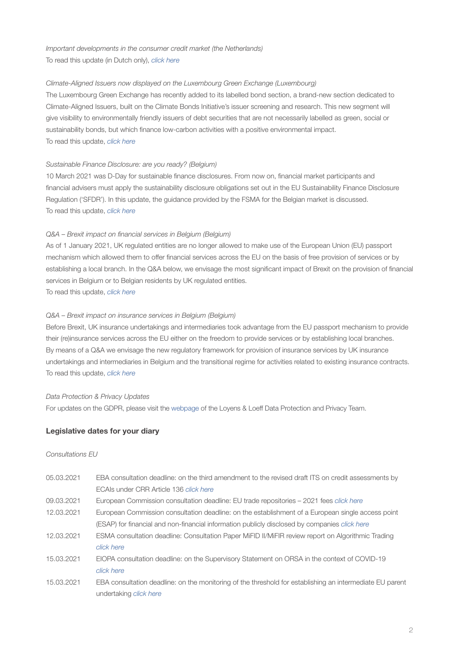*Important developments in the consumer credit market (the Netherlands)* To read this update (in Dutch only), *[click here](https://www.loyensloeff.com/nl/nl/nieuws/nieuwsartikelen/belangrijke-ontwikkelingen-op-de-markt-voor-consumptief-krediet-n22221/)*

# *Climate-Aligned Issuers now displayed on the Luxembourg Green Exchange (Luxembourg)*

The Luxembourg Green Exchange has recently added to its labelled bond section, a brand-new section dedicated to Climate-Aligned Issuers, built on the Climate Bonds Initiative's issuer screening and research. This new segment will give visibility to environmentally friendly issuers of debt securities that are not necessarily labelled as green, social or sustainability bonds, but which finance low-carbon activities with a positive environmental impact. To read this update, *[click here](https://www.loyensloeff.com/en/en/news/news-articles/climate-aligned-issuers-now-displayed-on-the-luxembourg-green-exchange-n21918/)*

# *Sustainable Finance Disclosure: are you ready? (Belgium)*

10 March 2021 was D-Day for sustainable finance disclosures. From now on, financial market participants and financial advisers must apply the sustainability disclosure obligations set out in the EU Sustainability Finance Disclosure Regulation ('SFDR'). In this update, the guidance provided by the FSMA for the Belgian market is discussed. To read this update, *[click here](https://www.loyensloeff.com/be/en/news/articles-and-newsflashes/sustainable-finance-disclosure-are-you-ready-n22035/?utm_medium=email&utm_source=newsletter&utm_campaign=substainable_finance_disclosure_12032021_be_en&msdynttrid=GTg2SFpnb1on1T6jeTTrN8A85p44LmTj5rSbiNyXuhU)*

# *Q&A – Brexit impact on financial services in Belgium (Belgium)*

As of 1 January 2021, UK regulated entities are no longer allowed to make use of the European Union (EU) passport mechanism which allowed them to offer financial services across the EU on the basis of free provision of services or by establishing a local branch. In the Q&A below, we envisage the most significant impact of Brexit on the provision of financial services in Belgium or to Belgian residents by UK regulated entities.

To read this update, *[click here](https://www.loyensloeff.com/be/en/news/articles-and-newsflashes/q-a-brexit-impact-on-financial-services-in-belgium-n21947/?utm_medium=email&utm_source=newsletter&utm_campaign=brexit_banking_23032021_be_en)*

# *Q&A – Brexit impact on insurance services in Belgium (Belgium)*

Before Brexit, UK insurance undertakings and intermediaries took advantage from the EU passport mechanism to provide their (re)insurance services across the EU either on the freedom to provide services or by establishing local branches. By means of a Q&A we envisage the new regulatory framework for provision of insurance services by UK insurance undertakings and intermediaries in Belgium and the transitional regime for activities related to existing insurance contracts. To read this update, *[click here](https://www.loyensloeff.com/be/en/news/articles-and-newsflashes/q-a-brexit-impact-on-insurance-services-in-belgium-n21990/?utm_medium=email&utm_source=newsletter&utm_campaign=brexit_banking_23032021_be_en)*

#### *Data Protection & Privacy Updates*

For updates on the GDPR, please visit the [webpage](https://www.loyensloeff.com/en/en/expertise/topics/data-protection-privacy/) of the Loyens & Loeff Data Protection and Privacy Team.

# Legislative dates for your diary

### *Consultations EU*

| 05.03.2021 | EBA consultation deadline: on the third amendment to the revised draft ITS on credit assessments by      |
|------------|----------------------------------------------------------------------------------------------------------|
|            | ECAIs under CRR Article 136 click here                                                                   |
| 09.03.2021 | European Commission consultation deadline: EU trade repositories – 2021 fees click here                  |
| 12.03.2021 | European Commission consultation deadline: on the establishment of a European single access point        |
|            | (ESAP) for financial and non-financial information publicly disclosed by companies <i>click here</i>     |
| 12.03.2021 | ESMA consultation deadline: Consultation Paper MiFID II/MiFIR review report on Algorithmic Trading       |
|            | click here                                                                                               |
| 15.03.2021 | EIOPA consultation deadline: on the Supervisory Statement on ORSA in the context of COVID-19             |
|            | click here                                                                                               |
| 15.03.2021 | EBA consultation deadline: on the monitoring of the threshold for establishing an intermediate EU parent |
|            | undertaking <i>click here</i>                                                                            |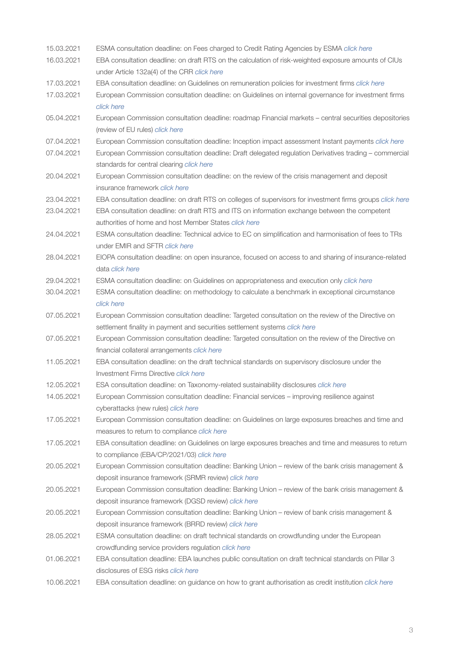| 15.03.2021 | ESMA consultation deadline: on Fees charged to Credit Rating Agencies by ESMA click here                  |
|------------|-----------------------------------------------------------------------------------------------------------|
| 16.03.2021 | EBA consultation deadline: on draft RTS on the calculation of risk-weighted exposure amounts of CIUs      |
|            | under Article 132a(4) of the CRR click here                                                               |
| 17.03.2021 | EBA consultation deadline: on Guidelines on remuneration policies for investment firms click here         |
| 17.03.2021 | European Commission consultation deadline: on Guidelines on internal governance for investment firms      |
|            | click here                                                                                                |
| 05.04.2021 | European Commission consultation deadline: roadmap Financial markets - central securities depositories    |
|            | (review of EU rules) click here                                                                           |
| 07.04.2021 | European Commission consultation deadline: Inception impact assessment Instant payments click here        |
| 07.04.2021 | European Commission consultation deadline: Draft delegated regulation Derivatives trading - commercial    |
|            | standards for central clearing click here                                                                 |
| 20.04.2021 | European Commission consultation deadline: on the review of the crisis management and deposit             |
|            | insurance framework click here                                                                            |
| 23.04.2021 | EBA consultation deadline: on draft RTS on colleges of supervisors for investment firms groups click here |
| 23.04.2021 | EBA consultation deadline: on draft RTS and ITS on information exchange between the competent             |
|            | authorities of home and host Member States click here                                                     |
| 24.04.2021 | ESMA consultation deadline: Technical advice to EC on simplification and harmonisation of fees to TRs     |
|            | under EMIR and SFTR click here                                                                            |
| 28.04.2021 | EIOPA consultation deadline: on open insurance, focused on access to and sharing of insurance-related     |
|            | data <i>click</i> here                                                                                    |
| 29.04.2021 | ESMA consultation deadline: on Guidelines on appropriateness and execution only click here                |
| 30.04.2021 | ESMA consultation deadline: on methodology to calculate a benchmark in exceptional circumstance           |
|            | click here                                                                                                |
| 07.05.2021 | European Commission consultation deadline: Targeted consultation on the review of the Directive on        |
|            | settlement finality in payment and securities settlement systems click here                               |
| 07.05.2021 | European Commission consultation deadline: Targeted consultation on the review of the Directive on        |
|            | financial collateral arrangements click here                                                              |
| 11.05.2021 | EBA consultation deadline: on the draft technical standards on supervisory disclosure under the           |
|            | Investment Firms Directive click here                                                                     |
| 12.05.2021 | ESA consultation deadline: on Taxonomy-related sustainability disclosures click here                      |
| 14.05.2021 | European Commission consultation deadline: Financial services - improving resilience against              |
|            | cyberattacks (new rules) click here                                                                       |
| 17.05.2021 | European Commission consultation deadline: on Guidelines on large exposures breaches and time and         |
|            | measures to return to compliance click here                                                               |
| 17.05.2021 | EBA consultation deadline: on Guidelines on large exposures breaches and time and measures to return      |
|            | to compliance (EBA/CP/2021/03) click here                                                                 |
| 20.05.2021 | European Commission consultation deadline: Banking Union - review of the bank crisis management &         |
|            | deposit insurance framework (SRMR review) click here                                                      |
| 20.05.2021 | European Commission consultation deadline: Banking Union - review of the bank crisis management &         |
|            | deposit insurance framework (DGSD review) click here                                                      |
| 20.05.2021 | European Commission consultation deadline: Banking Union - review of bank crisis management &             |
|            | deposit insurance framework (BRRD review) click here                                                      |
| 28.05.2021 | ESMA consultation deadline: on draft technical standards on crowdfunding under the European               |
|            | crowdfunding service providers regulation click here                                                      |
| 01.06.2021 | EBA consultation deadline: EBA launches public consultation on draft technical standards on Pillar 3      |
|            | disclosures of ESG risks click here                                                                       |
| 10.06.2021 | EBA consultation deadline: on guidance on how to grant authorisation as credit institution click here     |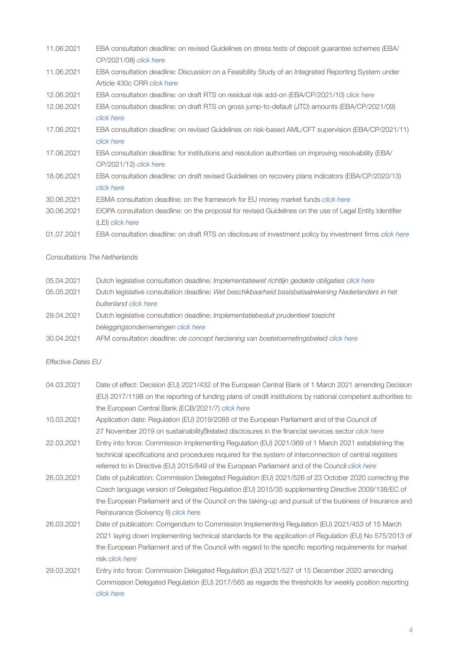- 11.06.2021 EBA consultation deadline: on revised Guidelines on stress tests of deposit guarantee schemes (EBA/ CP/2021/08) *[click here](https://www.eba.europa.eu/calendar/consultation-revised-guidelines-stress-tests-deposit-guarantee-schemes)*
- 11.06.2021 EBA consultation deadline: Discussion on a Feasibility Study of an Integrated Reporting System under Article 430c CRR *[click here](https://www.eba.europa.eu/calendar/discussion-feasibility-study-integrated-reporting-system-under-article-430c-crr)*
- 12.06.2021 EBA consultation deadline: on draft RTS on residual risk add-on (EBA/CP/2021/10) *[click here](https://www.eba.europa.eu/calendar/consultation-draft-rts-residual-risk-add)*
- 12.06.2021 EBA consultation deadline: on draft RTS on gross jump-to-default (JTD) amounts (EBA/CP/2021/09) *[click here](https://www.eba.europa.eu/calendar/consultation-draft-rts-gross-jump-default-jtd-amounts)*
- 17.06.2021 EBA consultation deadline: on revised Guidelines on risk-based AML/CFT supervision (EBA/CP/2021/11) *[click here](https://www.eba.europa.eu/calendar/consultation-revised-guidelines-risk-based-amlcft-supervision)*
- 17.06.2021 EBA consultation deadline: for institutions and resolution authorities on improving resolvability (EBA/ CP/2021/12) *[click here](https://www.eba.europa.eu/calendar/consultation-institutions-and-resolution-authorities-improving-resolvability)*
- 18.06.2021 EBA consultation deadline: on draft revised Guidelines on recovery plans indicators (EBA/CP/2020/13) *[click here](https://www.eba.europa.eu/calendar/consultation-draft-revised-guidelines-recovery-plans-indicators)*
- 30.06.2021 ESMA consultation deadline: on the framework for EU money market funds *[click here](https://www.esma.europa.eu/press-news/esma-news/esma-consults-framework-eu-money-market-funds)*
- 30.06.2021 EIOPA consultation deadline: on the proposal for revised Guidelines on the use of Legal Entity Identifier (LEI) *[click here](https://www.eiopa.europa.eu/content/consultation-proposal-revised-guidelines-use-of-legal-entity-identifier-lei_en)*
- 01.07.2021 EBA consultation deadline: on draft RTS on disclosure of investment policy by investment firms *[click here](https://www.eba.europa.eu/calendar/consultation-draft-rts-disclosure-investment-policy-investment-firms)*

# *Consultations The Netherlands*

| 05.04.2021 | Dutch legislative consultation deadline: <i>Implementatiewet richtlijn gedekte obligaties click here</i> |
|------------|----------------------------------------------------------------------------------------------------------|
| 05.05.2021 | Dutch legislative consultation deadline: Wet beschikbaarheid basisbetaalrekening Nederlanders in het     |
|            | buitenland click here                                                                                    |
| 29.04.2021 | Dutch legislative consultation deadline: Implementatiebesluit prudentieel toezicht                       |
|            | beleggingsondernemingen click here                                                                       |

30.04.2021 AFM consultation deadline: *de concept herziening van boetetoemetingsbeleid [click here](https://www.afm.nl/nl-nl/professionals/nieuws/2021/mrt/consultatie-boetetoemetingbeleid)*

#### *Effective Dates EU*

- 04.03.2021 Date of effect: Decision (EU) 2021/432 of the European Central Bank of 1 March 2021 amending Decision (EU) 2017/1198 on the reporting of funding plans of credit institutions by national competent authorities to the European Central Bank (ECB/2021/7) *[click here](https://eur-lex.europa.eu/legal-content/EN/TXT/?uri=uriserv:OJ.L_.2021.086.01.0014.01.ENG)*
- 10.03.2021 Application date: Regulation (EU) 2019/2088 of the European Parliament and of the Council of 27 November 2019 on sustainability related disclosures in the financial services sector *[click here](https://eur-lex.europa.eu/eli/reg/2019/2088/oj)*
- 22.03.2021 Entry into force: Commission Implementing Regulation (EU) 2021/369 of 1 March 2021 establishing the technical specifications and procedures required for the system of interconnection of central registers referred to in Directive (EU) 2015/849 of the European Parliament and of the Council *[click here](https://eur-lex.europa.eu/legal-content/EN/TXT/?uri=uriserv%3AOJ.L_.2021.071.01.0011.01.ENG&toc=OJ%3AL%3A2021%3A071%3ATOC)*
- 26.03.2021 Date of publication: Commission Delegated Regulation (EU) 2021/526 of 23 October 2020 correcting the Czech language version of Delegated Regulation (EU) 2015/35 supplementing Directive 2009/138/EC of the European Parliament and of the Council on the taking-up and pursuit of the business of Insurance and Reinsurance (Solvency II) *[click here](https://eur-lex.europa.eu/legal-content/EN/ALL/?uri=uriserv:OJ.L_.2021.106.01.0029.01.ENG)*
- 26.03.2021 Date of publication: Corrigendum to Commission Implementing Regulation (EU) 2021/453 of 15 March 2021 laying down implementing technical standards for the application of Regulation (EU) No 575/2013 of the European Parliament and of the Council with regard to the specific reporting requirements for market risk *[click here](https://eur-lex.europa.eu/legal-content/EN/TXT/?uri=uriserv%3AOJ.L_.2021.106.01.0071.01.ENG&toc=OJ%3AL%3A2021%3A106%3ATOC)*
- 29.03.2021 Entry into force: Commission Delegated Regulation (EU) 2021/527 of 15 December 2020 amending Commission Delegated Regulation (EU) 2017/565 as regards the thresholds for weekly position reporting *[click here](https://eur-lex.europa.eu/legal-content/EN/TXT/?uri=uriserv:OJ.L_.2021.106.01.0030.01.ENG)*